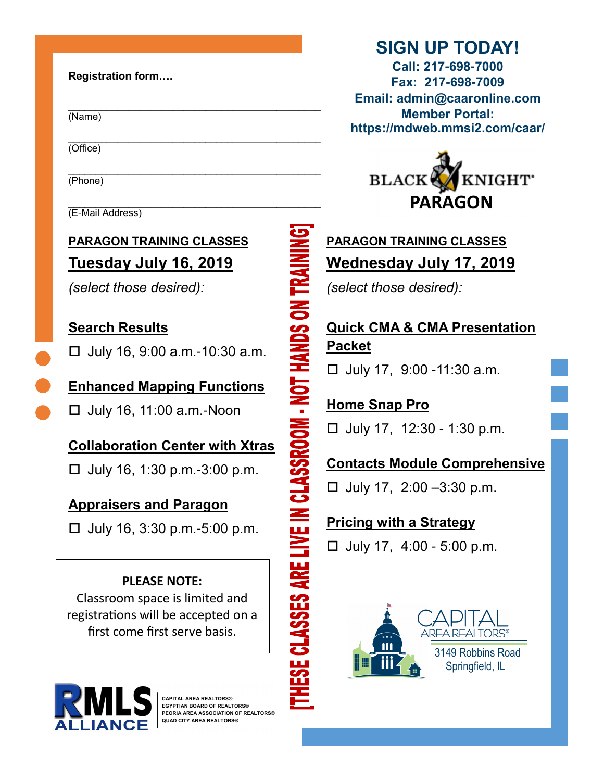### Registration form….

(Name)

\_\_\_\_\_\_\_\_\_\_\_\_\_\_\_\_\_\_\_\_\_\_\_\_\_\_\_\_\_\_\_\_\_\_\_\_\_\_\_\_\_\_\_\_\_\_ (Office)

\_\_\_\_\_\_\_\_\_\_\_\_\_\_\_\_\_\_\_\_\_\_\_\_\_\_\_\_\_\_\_\_\_\_\_\_\_\_\_\_\_\_\_\_\_\_ (Phone)

\_\_\_\_\_\_\_\_\_\_\_\_\_\_\_\_\_\_\_\_\_\_\_\_\_\_\_\_\_\_\_\_\_\_\_\_\_\_\_\_\_\_\_\_\_\_ (E-Mail Address)

# PARAGON TRAINING CLASSES Tuesday July 16, 2019

(select those desired):

## Search Results

 $\Box$  July 16, 9:00 a.m. -10:30 a.m.

Enhanced Mapping Functions  $\Box$  July 16, 11:00 a.m.-Noon

Collaboration Center with Xtras

 $\Box$  July 16, 1:30 p.m. -3:00 p.m.

## Appraisers and Paragon

 $\Box$  July 16, 3:30 p.m. -5:00 p.m.

### PLEASE NOTE:

Classroom space is limited and registrations will be accepted on a first come first serve basis.



CAPITAL AREA REALTORS® EGYPTIAN BOARD OF REALTORS® PEORIA AREA ASSOCIATION OF REALTORS® QUAD CITY AREA REALTORS®

# SIGN UP TODAY!

Call: 217**-**698**-**7000 Fax: 217**-**698**-**7009 Email: admin@caaronline.com Member Portal: https://mdweb.mmsi2.com/caar/



# PARAGON TRAINING CLASSES Wednesday July 17, 2019

(select those desired):

# Quick CMA & CMA Presentation Packet

 $\Box$  July 17, 9:00 -11:30 a.m.

Home Snap Pro  $\Box$  July 17, 12:30 - 1:30 p.m.

## Contacts Module Comprehensive

 $\Box$  July 17, 2:00 -3:30 p.m.

## Pricing with a Strategy

HESE CLASSES ARE LIVE IN CLASSROOM - NOT HANDS ON TR

 $\Box$  July 17, 4:00 - 5:00 p.m.

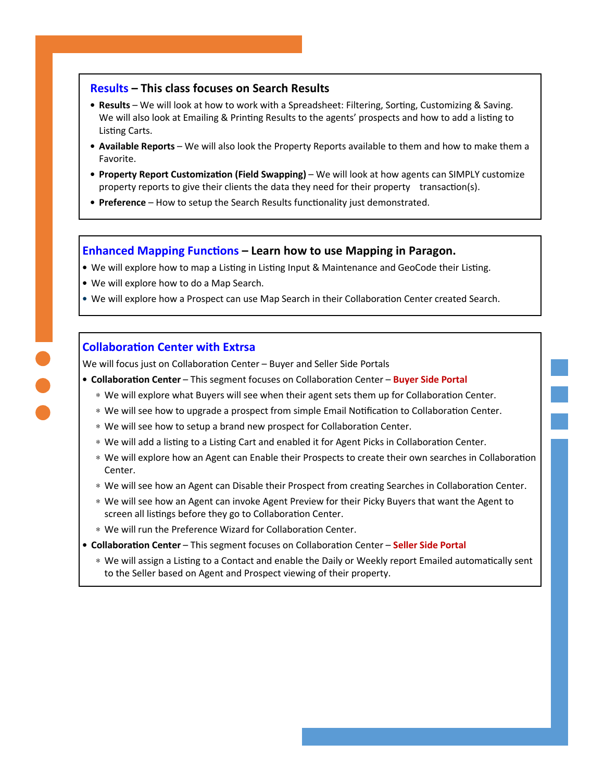#### Results – This class focuses on Search Results

- Results We will look at how to work with a Spreadsheet: Filtering, Sorting, Customizing & Saving. We will also look at Emailing & Printing Results to the agents' prospects and how to add a listing to Listing Carts.
- Available Reports We will also look the Property Reports available to them and how to make them a Favorite.
- Property Report Customization (Field Swapping) We will look at how agents can SIMPLY customize property reports to give their clients the data they need for their property transaction(s).
- Preference How to setup the Search Results functionality just demonstrated.

#### Enhanced Mapping Functions – Learn how to use Mapping in Paragon.

- We will explore how to map a Listing in Listing Input & Maintenance and GeoCode their Listing.
- We will explore how to do a Map Search.
- We will explore how a Prospect can use Map Search in their Collaboration Center created Search.

#### **Collaboration Center with Extrsa**

We will focus just on Collaboration Center - Buyer and Seller Side Portals

- Collaboration Center This segment focuses on Collaboration Center Buyer Side Portal
	- \* We will explore what Buyers will see when their agent sets them up for Collaboration Center.
	- ∗ We will see how to upgrade a prospect from simple Email Notification to Collaboration Center.
	- ∗ We will see how to setup a brand new prospect for Collaboration Center.
	- ∗ We will add a listing to a Listing Cart and enabled it for Agent Picks in Collaboration Center.
	- \* We will explore how an Agent can Enable their Prospects to create their own searches in Collaboration Center.
	- ∗ We will see how an Agent can Disable their Prospect from creating Searches in Collaboration Center.
	- ∗ We will see how an Agent can invoke Agent Preview for their Picky Buyers that want the Agent to screen all listings before they go to Collaboration Center.
	- \* We will run the Preference Wizard for Collaboration Center.
- Collaboration Center This segment focuses on Collaboration Center Seller Side Portal
	- ∗ We will assign a Listing to a Contact and enable the Daily or Weekly report Emailed automatically sent to the Seller based on Agent and Prospect viewing of their property.